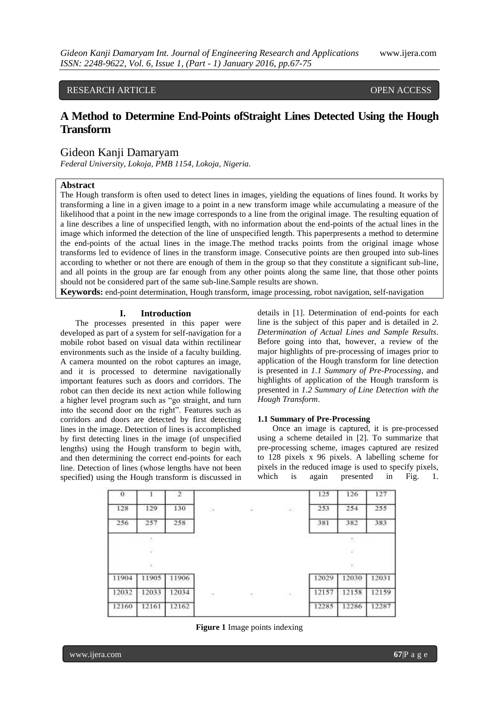# RESEARCH ARTICLE **CONSERVERS** OPEN ACCESS

# **A Method to Determine End-Points ofStraight Lines Detected Using the Hough Transform**

# Gideon Kanji Damaryam

*Federal University, Lokoja, PMB 1154, Lokoja, Nigeria.*

## **Abstract**

The Hough transform is often used to detect lines in images, yielding the equations of lines found. It works by transforming a line in a given image to a point in a new transform image while accumulating a measure of the likelihood that a point in the new image corresponds to a line from the original image. The resulting equation of a line describes a line of unspecified length, with no information about the end-points of the actual lines in the image which informed the detection of the line of unspecified length. This paperpresents a method to determine the end-points of the actual lines in the image.The method tracks points from the original image whose transforms led to evidence of lines in the transform image. Consecutive points are then grouped into sub-lines according to whether or not there are enough of them in the group so that they constitute a significant sub-line, and all points in the group are far enough from any other points along the same line, that those other points should not be considered part of the same sub-line.Sample results are shown.

**Keywords:** end-point determination, Hough transform, image processing, robot navigation, self-navigation

# **I. Introduction**

The processes presented in this paper were developed as part of a system for self-navigation for a mobile robot based on visual data within rectilinear environments such as the inside of a faculty building. A camera mounted on the robot captures an image, and it is processed to determine navigationally important features such as doors and corridors. The robot can then decide its next action while following a higher level program such as "go straight, and turn into the second door on the right". Features such as corridors and doors are detected by first detecting lines in the image. Detection of lines is accomplished by first detecting lines in the image (of unspecified lengths) using the Hough transform to begin with, and then determining the correct end-points for each line. Detection of lines (whose lengths have not been specified) using the Hough transform is discussed in details in [1]. Determination of end-points for each line is the subject of this paper and is detailed in *2. Determination of Actual Lines and Sample Results*. Before going into that, however, a review of the major highlights of pre-processing of images prior to application of the Hough transform for line detection is presented in *1.1 Summary of Pre-Processing*, and highlights of application of the Hough transform is presented in *1.2 Summary of Line Detection with the Hough Transform*.

# **1.1 Summary of Pre-Processing**

Once an image is captured, it is pre-processed using a scheme detailed in [2]. To summarize that pre-processing scheme, images captured are resized to 128 pixels x 96 pixels. A labelling scheme for pixels in the reduced image is used to specify pixels, which is again presented in Fig. 1.

| $\mathbf{0}$ |               | $\mathfrak{D}$ |    |           |                           | 125        | 126   | 127   |
|--------------|---------------|----------------|----|-----------|---------------------------|------------|-------|-------|
| 128          | 129           | 130            | 89 | 実         | $\langle \hat{a} \rangle$ | 253        | 254   | 255   |
| 256          | 257           | 258            |    |           |                           | 381        | 382   | 383   |
|              | 貞             |                |    |           |                           | <b>CHI</b> | 麭     |       |
|              | 嵩             |                |    |           |                           |            | 簗     |       |
|              | $\mathcal{A}$ |                |    |           |                           |            | Œ     |       |
| 11904        | 11905         | 11906          |    |           |                           | 12029      | 12030 | 12031 |
| 12032        | 12033         | 12034          | 澿  | $\sim 10$ | 138                       | 12157      | 12158 | 12159 |
| 12160        | 12161         | 12162          |    |           |                           | 12285      | 12286 | 12287 |
|              |               |                |    |           |                           |            |       |       |

## **Figure 1** Image points indexing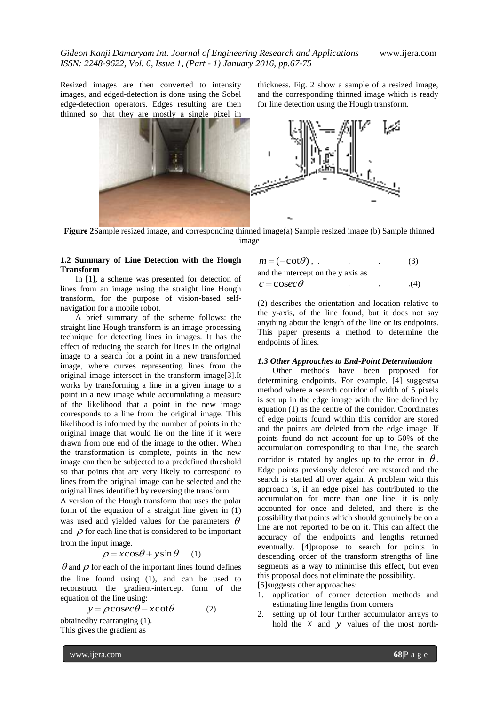Resized images are then converted to intensity images, and edged-detection is done using the Sobel edge-detection operators. Edges resulting are then thinned so that they are mostly a single pixel in

thickness. Fig. 2 show a sample of a resized image, and the corresponding thinned image which is ready for line detection using the Hough transform.



**Figure 2**Sample resized image, and corresponding thinned image(a) Sample resized image (b) Sample thinned image

# **1.2 Summary of Line Detection with the Hough Transform**

In [1], a scheme was presented for detection of lines from an image using the straight line Hough transform, for the purpose of vision-based selfnavigation for a mobile robot.

A brief summary of the scheme follows: the straight line Hough transform is an image processing technique for detecting lines in images. It has the effect of reducing the search for lines in the original image to a search for a point in a new transformed image, where curves representing lines from the original image intersect in the transform image[3].It works by transforming a line in a given image to a point in a new image while accumulating a measure of the likelihood that a point in the new image corresponds to a line from the original image. This likelihood is informed by the number of points in the original image that would lie on the line if it were drawn from one end of the image to the other. When the transformation is complete, points in the new image can then be subjected to a predefined threshold so that points that are very likely to correspond to lines from the original image can be selected and the original lines identified by reversing the transform.

A version of the Hough transform that uses the polar form of the equation of a straight line given in (1) was used and yielded values for the parameters  $\theta$ and  $\rho$  for each line that is considered to be important from the input image.

$$
\rho = x\cos\theta + y\sin\theta \quad (1)
$$

 $\theta$  and  $\rho$  for each of the important lines found defines the line found using (1), and can be used to reconstruct the gradient-intercept form of the equation of the line using:

$$
y = \rho \csc \theta - x \cot \theta \qquad (2)
$$

obtainedby rearranging (1). This gives the gradient as

$$
m = (-\cot \theta), \qquad (3)
$$
  
and the intercept on the *y* axis as

$$
c = \csc \theta \tag{4}
$$

(2) describes the orientation and location relative to the y-axis, of the line found, but it does not say anything about the length of the line or its endpoints. This paper presents a method to determine the endpoints of lines.

# *1.3 Other Approaches to End-Point Determination*

Other methods have been proposed for determining endpoints. For example, [4] suggestsa method where a search corridor of width of 5 pixels is set up in the edge image with the line defined by equation (1) as the centre of the corridor. Coordinates of edge points found within this corridor are stored and the points are deleted from the edge image. If points found do not account for up to 50% of the accumulation corresponding to that line, the search corridor is rotated by angles up to the error in  $\theta$ . Edge points previously deleted are restored and the search is started all over again. A problem with this approach is, if an edge pixel has contributed to the accumulation for more than one line, it is only accounted for once and deleted, and there is the possibility that points which should genuinely be on a line are not reported to be on it. This can affect the accuracy of the endpoints and lengths returned eventually. [4]propose to search for points in descending order of the transform strengths of line segments as a way to minimise this effect, but even this proposal does not eliminate the possibility.

[5]suggests other approaches:

- 1. application of corner detection methods and estimating line lengths from corners
- 2. setting up of four further accumulator arrays to hold the  $x$  and  $y$  values of the most north-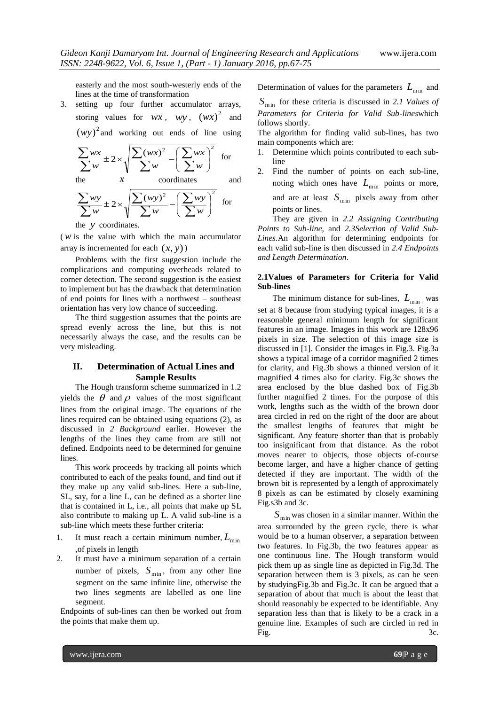easterly and the most south-westerly ends of the lines at the time of transformation

3. setting up four further accumulator arrays, storing values for  $wx$ ,  $wy$ ,  $(wx)^2$  and

 $(wy)^2$  and working out ends of line using

$$
\frac{\sum wx}{\sum w} \pm 2 \times \sqrt{\frac{\sum (wx)^2}{\sum w}} - \left(\frac{\sum wx}{\sum w}\right)^2
$$
 for  
the *x* coordinates and

$$
\frac{\sum wy}{\sum w} \pm 2 \times \sqrt{\frac{\sum (wy)^2}{\sum w} - \left(\frac{\sum wy}{\sum w}\right)^2}
$$
 for

the *y* coordinates.

( *w* is the value with which the main accumulator array is incremented for each  $(x, y)$ )

Problems with the first suggestion include the complications and computing overheads related to corner detection. The second suggestion is the easiest to implement but has the drawback that determination of end points for lines with a northwest – southeast orientation has very low chance of succeeding.

The third suggestion assumes that the points are spread evenly across the line, but this is not necessarily always the case, and the results can be very misleading.

# **II. Determination of Actual Lines and Sample Results**

The Hough transform scheme summarized in 1.2 yields the  $\theta$  and  $\rho$  values of the most significant lines from the original image. The equations of the lines required can be obtained using equations (2), as discussed in *2 Background* earlier. However the lengths of the lines they came from are still not defined. Endpoints need to be determined for genuine lines.

This work proceeds by tracking all points which contributed to each of the peaks found, and find out if they make up any valid sub-lines. Here a sub-line, SL, say, for a line L, can be defined as a shorter line that is contained in L, i.e., all points that make up SL also contribute to making up L. A valid sub-line is a sub-line which meets these further criteria:

- 1. It must reach a certain minimum number,  $L_{\text{min}}$ ,of pixels in length
- 2. It must have a minimum separation of a certain number of pixels,  $S_{\min}$ , from any other line segment on the same infinite line, otherwise the two lines segments are labelled as one line segment.

Endpoints of sub-lines can then be worked out from the points that make them up.

Determination of values for the parameters  $L_{\text{min}}$  and

*S*min for these criteria is discussed in *2.1 Values of Parameters for Criteria for Valid Sub-lines*which follows shortly.

The algorithm for finding valid sub-lines, has two main components which are:

- 1. Determine which points contributed to each subline
- 2. Find the number of points on each sub-line, noting which ones have  $L_{\text{min}}$  points or more, and are at least  $S_{\min}$  pixels away from other

points or lines.

They are given in *2.2 Assigning Contributing Points to Sub-line*, and *2.3Selection of Valid Sub-Lines.*An algorithm for determining endpoints for each valid sub-line is then discussed in *2.4 Endpoints and Length Determination*.

# **2.1Values of Parameters for Criteria for Valid Sub-lines**

The minimum distance for sub-lines,  $L_{\text{min}}$ , was set at 8 because from studying typical images, it is a reasonable general minimum length for significant features in an image. Images in this work are 128x96 pixels in size. The selection of this image size is discussed in [1]. Consider the images in Fig.3. Fig.3a shows a typical image of a corridor magnified 2 times for clarity, and Fig.3b shows a thinned version of it magnified 4 times also for clarity. Fig.3c shows the area enclosed by the blue dashed box of Fig.3b further magnified 2 times. For the purpose of this work, lengths such as the width of the brown door area circled in red on the right of the door are about the smallest lengths of features that might be significant. Any feature shorter than that is probably too insignificant from that distance. As the robot moves nearer to objects, those objects of-course become larger, and have a higher chance of getting detected if they are important. The width of the brown bit is represented by a length of approximately 8 pixels as can be estimated by closely examining Fig.s3b and 3c.

 $S_{\min}$  was chosen in a similar manner. Within the area surrounded by the green cycle, there is what would be to a human observer, a separation between two features. In Fig.3b, the two features appear as one continuous line. The Hough transform would pick them up as single line as depicted in Fig.3d. The separation between them is 3 pixels, as can be seen by studyingFig.3b and Fig.3c. It can be argued that a separation of about that much is about the least that should reasonably be expected to be identifiable. Any separation less than that is likely to be a crack in a genuine line. Examples of such are circled in red in Fig.  $3c.$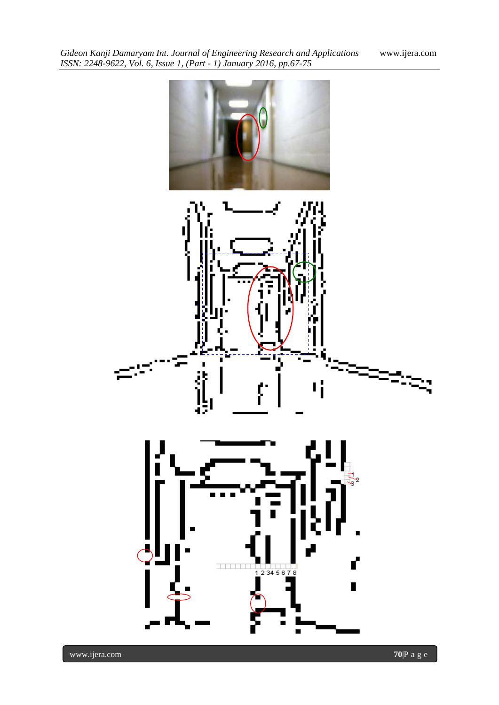

*Gideon Kanji Damaryam Int. Journal of Engineering Research and Applications* www.ijera.com *ISSN: 2248-9622, Vol. 6, Issue 1, (Part - 1) January 2016, pp.67-75*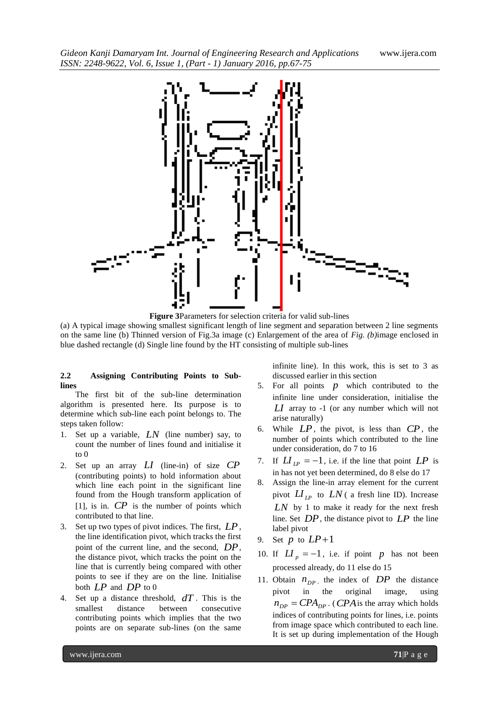

**Figure 3**Parameters for selection criteria for valid sub-lines

(a) A typical image showing smallest significant length of line segment and separation between 2 line segments on the same line (b) Thinned version of Fig.3a image (c) Enlargement of the area of *Fig. (b)*image enclosed in blue dashed rectangle (d) Single line found by the HT consisting of multiple sub-lines

## **2.2 Assigning Contributing Points to Sublines**

The first bit of the sub-line determination algorithm is presented here. Its purpose is to determine which sub-line each point belongs to. The steps taken follow:

- 1. Set up a variable, *LN* (line number) say, to count the number of lines found and initialise it to 0
- 2. Set up an array *LI* (line-in) of size *CP* (contributing points) to hold information about which line each point in the significant line found from the Hough transform application of [1], is in. *CP* is the number of points which contributed to that line.
- 3. Set up two types of pivot indices. The first, *LP*, the line identification pivot, which tracks the first point of the current line, and the second, *DP*, the distance pivot, which tracks the point on the line that is currently being compared with other points to see if they are on the line. Initialise both *LP* and *DP* to 0
- 4. Set up a distance threshold,  $dT$ . This is the smallest distance between consecutive contributing points which implies that the two points are on separate sub-lines (on the same

infinite line). In this work, this is set to 3 as discussed earlier in this section

- 5. For all points  $p$  which contributed to the infinite line under consideration, initialise the *LI* array to -1 (or any number which will not arise naturally)
- 6. While  $LP$ , the pivot, is less than  $CP$ , the number of points which contributed to the line under consideration, do 7 to 16
- 7. If  $L I_{LP} = -1$ , i.e. if the line that point  $LP$  is in has not yet been determined, do 8 else do 17
- 8. Assign the line-in array element for the current pivot  $L\!I_{LP}$  to  $LN$  ( a fresh line ID). Increase *LN* by 1 to make it ready for the next fresh line. Set  $DP$ , the distance pivot to  $LP$  the line label pivot
- 9. Set  $p$  to  $LP+1$
- 10. If  $L I_p = -1$ , i.e. if point p has not been processed already, do 11 else do 15
- 11. Obtain  $n_{DP}$ , the index of  $DP$  the distance pivot in the original image, using  $n_{DP} = CPA_{DP}$ . (*CPA* is the array which holds indices of contributing points for lines, i.e. points from image space which contributed to each line. It is set up during implementation of the Hough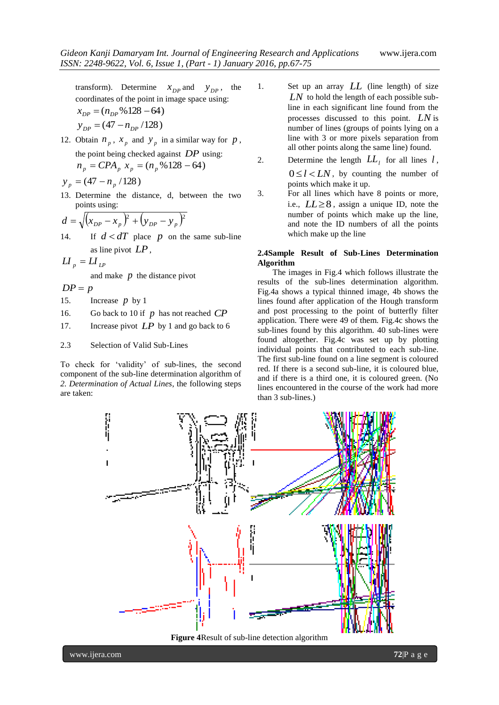transform). Determine  $x_{DP}$  and  $y_{DP}$ , the coordinates of the point in image space using:  $x_{DP} = (n_{DP} % 128 - 64)$  $y_{DP} = (47 - n_{DP} / 128)$ 

12. Obtain  $n_p$ ,  $x_p$  and  $y_p$  in a similar way for p, the point being checked against *DP* using:  $n_p = CPA_p$ ,  $x_p = (n_p \, \% 128 - 64)$ 

 $y_p = (47 - n_p / 128)$ 

13. Determine the distance, d, between the two points using:

$$
d = \sqrt{(x_{DP} - x_p)^2 + (y_{DP} - y_p)^2}
$$

 $14.$  $d < dT$  place p on the same sub-line as line pivot *LP*,

$$
LI_{p} = LI_{LP}
$$

and make  $p$  the distance pivot

$$
DP = p
$$

15. Increase  $p$  by 1

16. Go back to 10 if *p* has not reached *CP*

17. Increase pivot *LP* by 1 and go back to 6

2.3 Selection of Valid Sub-Lines

To check for "validity" of sub-lines, the second component of the sub-line determination algorithm of *2. Determination of Actual Lines*, the following steps are taken:

1. Set up an array *LL* (line length) of size *LN* to hold the length of each possible subline in each significant line found from the processes discussed to this point. *LN* is number of lines (groups of points lying on a line with 3 or more pixels separation from all other points along the same line) found.

2. Determine the length  $LL_l$  for all lines  $l$ ,  $0 \le l < LN$ , by counting the number of points which make it up.

3. For all lines which have 8 points or more, i.e.,  $LL \ge 8$ , assign a unique ID, note the number of points which make up the line, and note the ID numbers of all the points which make up the line

# **2.4Sample Result of Sub-Lines Determination Algorithm**

The images in Fig.4 which follows illustrate the results of the sub-lines determination algorithm. Fig.4a shows a typical thinned image, 4b shows the lines found after application of the Hough transform and post processing to the point of butterfly filter application. There were 49 of them. Fig.4c shows the sub-lines found by this algorithm. 40 sub-lines were found altogether. Fig.4c was set up by plotting individual points that contributed to each sub-line. The first sub-line found on a line segment is coloured red. If there is a second sub-line, it is coloured blue, and if there is a third one, it is coloured green. (No lines encountered in the course of the work had more than 3 sub-lines.)



www.ijera.com **72**|P a g e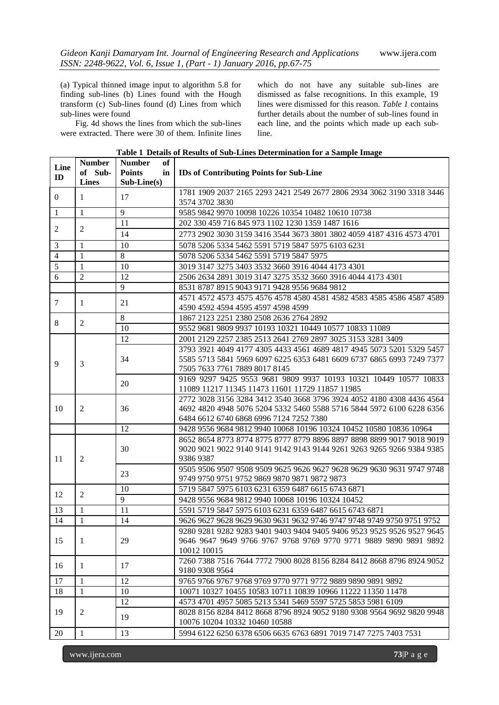(a) Typical thinned image input to algorithm 5.8 for finding sub-lines (b) Lines found with the Hough transform (c) Sub-lines found (d) Lines from which sub-lines were found

Fig. 4d shows the lines from which the sub-lines were extracted. There were 30 of them. Infinite lines

which do not have any suitable sub-lines are dismissed as false recognitions. In this example, 19 lines were dismissed for this reason. *Table 1* contains further details about the number of sub-lines found in each line, and the points which made up each subline.

| Line           | <b>Number</b>  | <b>Number</b><br>of |                                                                                                                  |
|----------------|----------------|---------------------|------------------------------------------------------------------------------------------------------------------|
| ID             | of Sub-        | <b>Points</b><br>in | <b>IDs of Contributing Points for Sub-Line</b>                                                                   |
|                | <b>Lines</b>   | $Sub-Line(s)$       |                                                                                                                  |
| $\mathbf{0}$   | 1              | 17                  | 1781 1909 2037 2165 2293 2421 2549 2677 2806 2934 3062 3190 3318 3446                                            |
|                |                |                     | 3574 3702 3830                                                                                                   |
| $\mathbf{1}$   | $\mathbf{1}$   | 9                   | 9585 9842 9970 10098 10226 10354 10482 10610 10738                                                               |
| $\overline{c}$ | $\overline{c}$ | 11                  | 202 330 459 716 845 973 1102 1230 1359 1487 1616                                                                 |
|                |                | 14                  | 2773 2902 3030 3159 3416 3544 3673 3801 3802 4059 4187 4316 4573 4701                                            |
| 3              | 1              | 10                  | 5078 5206 5334 5462 5591 5719 5847 5975 6103 6231                                                                |
| $\overline{4}$ | 1              | 8                   | 5078 5206 5334 5462 5591 5719 5847 5975                                                                          |
| 5              | $\mathbf{1}$   | 10                  | 3019 3147 3275 3403 3532 3660 3916 4044 4173 4301                                                                |
| 6              | $\overline{2}$ | 12                  | 2506 2634 2891 3019 3147 3275 3532 3660 3916 4044 4173 4301                                                      |
|                |                | 9                   | 8531 8787 8915 9043 9171 9428 9556 9684 9812                                                                     |
| $\tau$         | $\mathbf{1}$   | 21                  | 4571 4572 4573 4575 4576 4578 4580 4581 4582 4583 4585 4586 4587 4589                                            |
|                |                |                     | 4590 4592 4594 4595 4597 4598 4599                                                                               |
| 8              | $\overline{2}$ | 8                   | 1867 2123 2251 2380 2508 2636 2764 2892                                                                          |
|                |                | 10                  | 9552 9681 9809 9937 10193 10321 10449 10577 10833 11089                                                          |
|                |                | 12                  | 2001 2129 2257 2385 2513 2641 2769 2897 3025 3153 3281 3409                                                      |
|                |                |                     | 3793 3921 4049 4177 4305 4433 4561 4689 4817 4945 5073 5201 5329 5457                                            |
| 9              | 3              | 34                  | 5585 5713 5841 5969 6097 6225 6353 6481 6609 6737 6865 6993 7249 7377                                            |
|                |                |                     | 7505 7633 7761 7889 8017 8145                                                                                    |
|                |                | 20                  | 9169 9297 9425 9553 9681 9809 9937 10193 10321 10449 10577 10833                                                 |
|                |                |                     | 11089 11217 11345 11473 11601 11729 11857 11985                                                                  |
|                | 2              | 36                  | 2772 3028 3156 3284 3412 3540 3668 3796 3924 4052 4180 4308 4436 4564                                            |
| 10             |                |                     | 4692 4820 4948 5076 5204 5332 5460 5588 5716 5844 5972 6100 6228 6356<br>6484 6612 6740 6868 6996 7124 7252 7380 |
|                |                | 12                  | 9428 9556 9684 9812 9940 10068 10196 10324 10452 10580 10836 10964                                               |
|                | $\overline{2}$ |                     | 8652 8654 8773 8774 8775 8777 8779 8896 8897 8898 8899 9017 9018 9019                                            |
|                |                | 30                  | 9020 9021 9022 9140 9141 9142 9143 9144 9261 9263 9265 9266 9384 9385                                            |
| 11             |                |                     | 93869387                                                                                                         |
|                |                | 23                  | 9505 9506 9507 9508 9509 9625 9626 9627 9628 9629 9630 9631 9747 9748                                            |
|                |                |                     | 9749 9750 9751 9752 9869 9870 9871 9872 9873                                                                     |
|                | $\overline{2}$ | 10                  | 5719 5847 5975 6103 6231 6359 6487 6615 6743 6871                                                                |
| 12             |                | 9                   | 9428 9556 9684 9812 9940 10068 10196 10324 10452                                                                 |
| 13             | $\mathbf{1}$   | 11                  | 5591 5719 5847 5975 6103 6231 6359 6487 6615 6743 6871                                                           |
| 14             | $\mathbf{1}$   | 14                  | 9626 9627 9628 9629 9630 9631 9632 9746 9747 9748 9749 9750 9751 9752                                            |
|                |                |                     | 9280 9281 9282 9283 9401 9403 9404 9405 9406 9523 9525 9526 9527 9645                                            |
| 15             | 1              | 29                  | 9646 9647 9649 9766 9767 9768 9769 9770 9771 9889 9890 9891 9892                                                 |
|                |                |                     | 10012 10015                                                                                                      |
| 16             | 1              | 17                  | 7260 7388 7516 7644 7772 7900 8028 8156 8284 8412 8668 8796 8924 9052                                            |
|                |                |                     | 9180 9308 9564                                                                                                   |
| 17             | 1              | 12                  | 9765 9766 9767 9768 9769 9770 9771 9772 9889 9890 9891 9892                                                      |
| 18             | 1              | 10                  | 10071 10327 10455 10583 10711 10839 10966 11222 11350 11478                                                      |
| 19             | $\overline{c}$ | 12                  | 4573 4701 4957 5085 5213 5341 5469 5597 5725 5853 5981 6109                                                      |
|                |                | 19                  | 8028 8156 8284 8412 8668 8796 8924 9052 9180 9308 9564 9692 9820 9948                                            |
|                |                |                     | 10076 10204 10332 10460 10588                                                                                    |
| 20             | $\mathbf{1}$   | 13                  | 5994 6122 6250 6378 6506 6635 6763 6891 7019 7147 7275 7403 7531                                                 |

**Table 1 Details of Results of Sub-Lines Determination for a Sample Image**

www.ijera.com **73**|P a g e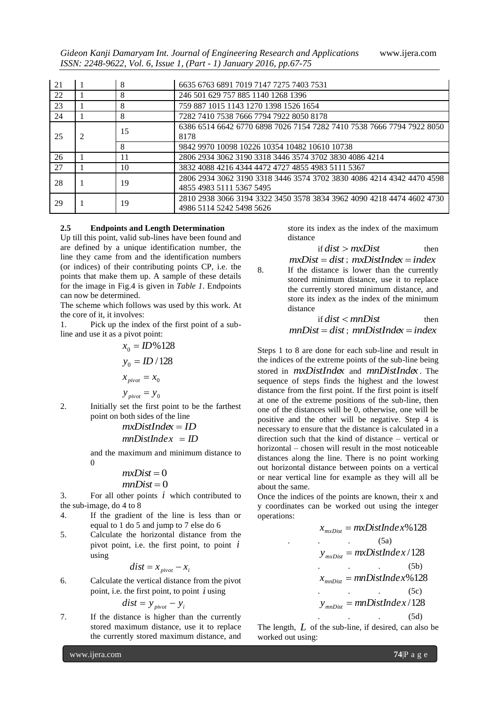*Gideon Kanji Damaryam Int. Journal of Engineering Research and Applications* www.ijera.com *ISSN: 2248-9622, Vol. 6, Issue 1, (Part - 1) January 2016, pp.67-75*

| 21 |  | 8  | 6635 6763 6891 7019 7147 7275 7403 7531                                                           |  |  |
|----|--|----|---------------------------------------------------------------------------------------------------|--|--|
| 22 |  | 8  | 246 501 629 757 885 1140 1268 1396                                                                |  |  |
| 23 |  | 8  | 759 887 1015 1143 1270 1398 1526 1654                                                             |  |  |
| 24 |  | 8  | 7282 7410 7538 7666 7794 7922 8050 8178                                                           |  |  |
| 25 |  | 15 | 6386 6514 6642 6770 6898 7026 7154 7282 7410 7538 7666 7794 7922 8050<br>8178                     |  |  |
|    |  | 8  | 9842 9970 10098 10226 10354 10482 10610 10738                                                     |  |  |
| 26 |  | 11 | 2806 2934 3062 3190 3318 3446 3574 3702 3830 4086 4214                                            |  |  |
| 27 |  | 10 | 3832 4088 4216 4344 4472 4727 4855 4983 5111 5367                                                 |  |  |
| 28 |  | 19 | 2806 2934 3062 3190 3318 3446 3574 3702 3830 4086 4214 4342 4470 4598<br>4855 4983 5111 5367 5495 |  |  |
| 29 |  | 19 | 2810 2938 3066 3194 3322 3450 3578 3834 3962 4090 4218 4474 4602 4730<br>4986 5114 5242 5498 5626 |  |  |

## **2.5 Endpoints and Length Determination**

Up till this point, valid sub-lines have been found and are defined by a unique identification number, the line they came from and the identification numbers (or indices) of their contributing points CP, i.e. the points that make them up. A sample of these details for the image in Fig.4 is given in *Table 1*. Endpoints can now be determined.

The scheme which follows was used by this work. At the core of it, it involves:

1. Pick up the index of the first point of a subline and use it as a pivot point:

$$
x_0 = ID\% 128
$$
  
\n
$$
y_0 = ID/128
$$
  
\n
$$
x_{pivot} = x_0
$$
  
\n
$$
y_{pivot} = y_0
$$

2. Initially set the first point to be the farthest point on both sides of the line

$$
mxDistIndex = ID
$$

$$
mnDistIndex = ID
$$

and the maximum and minimum distance to 0

$$
mxDist = 0
$$

$$
mnDist = 0
$$

3. For all other points  $i$  which contributed to the sub-image, do 4 to 8

- 4. If the gradient of the line is less than or equal to 1 do 5 and jump to 7 else do 6
- 5. Calculate the horizontal distance from the pivot point, i.e. the first point, to point *i* using

$$
dist = x_{pivot} - x_i
$$

6. Calculate the vertical distance from the pivot point, i.e. the first point, to point *i* using

$$
dist = y_{\text{pivot}} - y_i
$$

7. If the distance is higher than the currently stored maximum distance, use it to replace the currently stored maximum distance, and

www.ijera.com **74**|P a g e

store its index as the index of the maximum distance

if 
$$
dist > mxDist
$$
 then  
 $mxDist = dist$ ;  $mxDistIndex = index$ 

8. If the distance is lower than the currently stored minimum distance, use it to replace the currently stored minimum distance, and store its index as the index of the minimum distance

if 
$$
dist < mnDist
$$
 then  
 $mnDist = dist$ ;  $mnDistIndex = index$ 

Steps 1 to 8 are done for each sub-line and result in the indices of the extreme points of the sub-line being stored in *mxDistIndex* and *mnDistIndex* . The sequence of steps finds the highest and the lowest distance from the first point. If the first point is itself at one of the extreme positions of the sub-line, then one of the distances will be 0, otherwise, one will be positive and the other will be negative. Step 4 is necessary to ensure that the distance is calculated in a direction such that the kind of distance – vertical or horizontal – chosen will result in the most noticeable distances along the line. There is no point working out horizontal distance between points on a vertical or near vertical line for example as they will all be about the same.

Once the indices of the points are known, their x and y coordinates can be worked out using the integer operations:

$$
x_{mxDist} = mxDistIndex\% 128
$$
  
\n(5a)  
\n
$$
y_{mxDist} = mxDistIndex/128
$$
  
\n(5b)  
\n
$$
x_{mnDist} = mnDistIndex\% 128
$$
  
\n(5c)  
\n
$$
y_{mnDist} = mnDistIndex/128
$$
  
\n(5d)

The length, *L* of the sub-line, if desired, can also be worked out using: